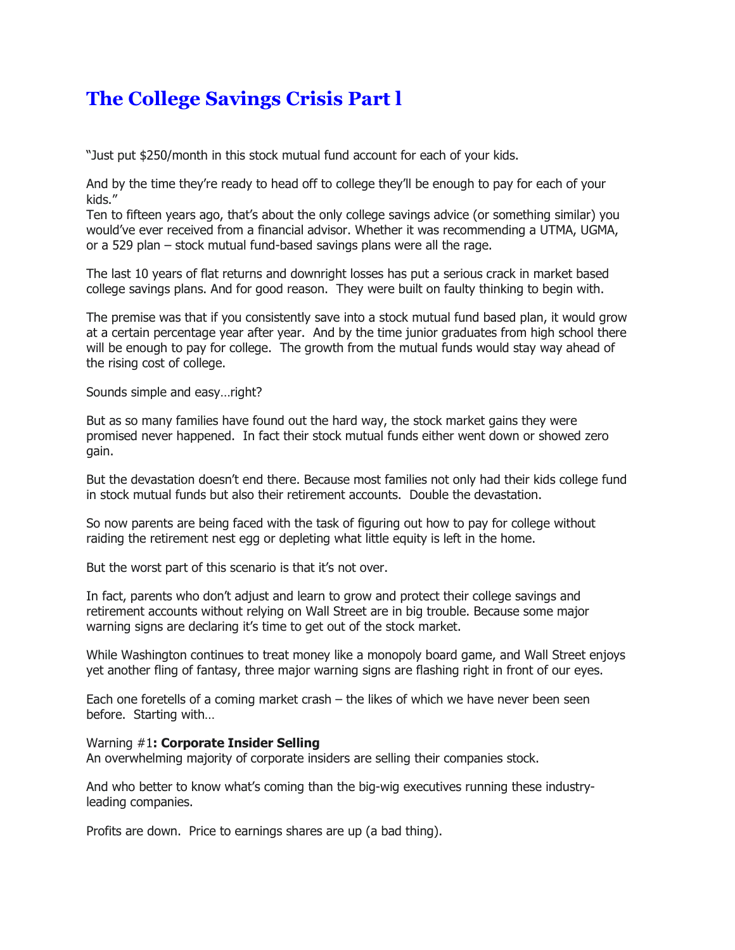## **The College Savings Crisis Part l**

"Just put \$250/month in this stock mutual fund account for each of your kids.

And by the time they're ready to head off to college they'll be enough to pay for each of your kids."

Ten to fifteen years ago, that's about the only college savings advice (or something similar) you would've ever received from a financial advisor. Whether it was recommending a UTMA, UGMA, or a 529 plan – stock mutual fund-based savings plans were all the rage.

The last 10 years of flat returns and downright losses has put a serious crack in market based college savings plans. And for good reason. They were built on faulty thinking to begin with.

The premise was that if you consistently save into a stock mutual fund based plan, it would grow at a certain percentage year after year. And by the time junior graduates from high school there will be enough to pay for college. The growth from the mutual funds would stay way ahead of the rising cost of college.

Sounds simple and easy…right?

But as so many families have found out the hard way, the stock market gains they were promised never happened. In fact their stock mutual funds either went down or showed zero gain.

But the devastation doesn't end there. Because most families not only had their kids college fund in stock mutual funds but also their retirement accounts. Double the devastation.

So now parents are being faced with the task of figuring out how to pay for college without raiding the retirement nest egg or depleting what little equity is left in the home.

But the worst part of this scenario is that it's not over.

In fact, parents who don't adjust and learn to grow and protect their college savings and retirement accounts without relying on Wall Street are in big trouble. Because some major warning signs are declaring it's time to get out of the stock market.

While Washington continues to treat money like a monopoly board game, and Wall Street enjoys yet another fling of fantasy, three major warning signs are flashing right in front of our eyes.

Each one foretells of a coming market crash – the likes of which we have never been seen before. Starting with…

## Warning #1**: Corporate Insider Selling**

An overwhelming majority of corporate insiders are selling their companies stock.

And who better to know what's coming than the big-wig executives running these industryleading companies.

Profits are down. Price to earnings shares are up (a bad thing).